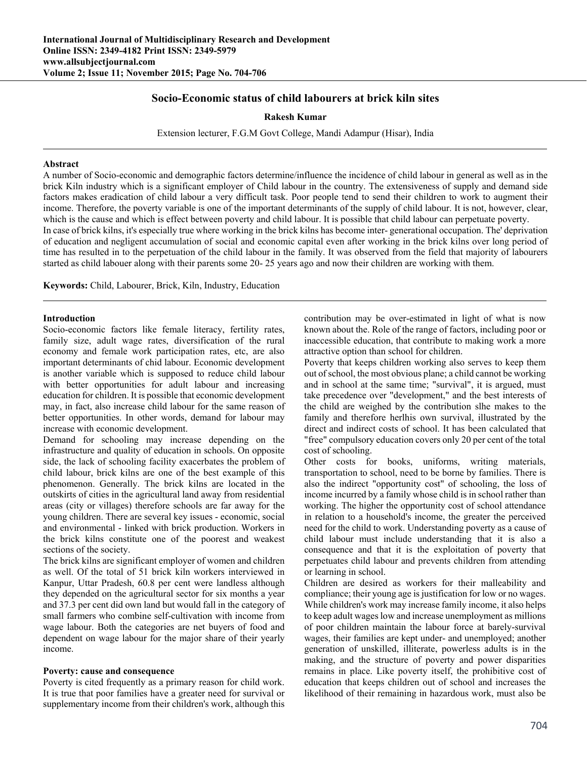# **Socio-Economic status of child labourers at brick kiln sites**

### **Rakesh Kumar**

Extension lecturer, F.G.M Govt College, Mandi Adampur (Hisar), India

#### **Abstract**

A number of Socio-economic and demographic factors determine/influence the incidence of child labour in general as well as in the brick Kiln industry which is a significant employer of Child labour in the country. The extensiveness of supply and demand side factors makes eradication of child labour a very difficult task. Poor people tend to send their children to work to augment their income. Therefore, the poverty variable is one of the important determinants of the supply of child labour. It is not, however, clear, which is the cause and which is effect between poverty and child labour. It is possible that child labour can perpetuate poverty. In case of brick kilns, it's especially true where working in the brick kilns has become inter- generational occupation. The' deprivation of education and negligent accumulation of social and economic capital even after working in the brick kilns over long period of time has resulted in to the perpetuation of the child labour in the family. It was observed from the field that majority of labourers started as child labouer along with their parents some 20- 25 years ago and now their children are working with them.

**Keywords:** Child, Labourer, Brick, Kiln, Industry, Education

### **Introduction**

Socio-economic factors like female literacy, fertility rates, family size, adult wage rates, diversification of the rural economy and female work participation rates, etc, are also important determinants of chid labour. Economic development is another variable which is supposed to reduce child labour with better opportunities for adult labour and increasing education for children. It is possible that economic development may, in fact, also increase child labour for the same reason of better opportunities. In other words, demand for labour may increase with economic development.

Demand for schooling may increase depending on the infrastructure and quality of education in schools. On opposite side, the lack of schooling facility exacerbates the problem of child labour, brick kilns are one of the best example of this phenomenon. Generally. The brick kilns are located in the outskirts of cities in the agricultural land away from residential areas (city or villages) therefore schools are far away for the young children. There are several key issues - economic, social and environmental - linked with brick production. Workers in the brick kilns constitute one of the poorest and weakest sections of the society.

The brick kilns are significant employer of women and children as well. Of the total of 51 brick kiln workers interviewed in Kanpur, Uttar Pradesh, 60.8 per cent were landless although they depended on the agricultural sector for six months a year and 37.3 per cent did own land but would fall in the category of small farmers who combine self-cultivation with income from wage labour. Both the categories are net buyers of food and dependent on wage labour for the major share of their yearly income.

#### **Poverty: cause and consequence**

Poverty is cited frequently as a primary reason for child work. It is true that poor families have a greater need for survival or supplementary income from their children's work, although this

contribution may be over-estimated in light of what is now known about the. Role of the range of factors, including poor or inaccessible education, that contribute to making work a more attractive option than school for children.

Poverty that keeps children working also serves to keep them out of school, the most obvious plane; a child cannot be working and in school at the same time; "survival", it is argued, must take precedence over "development," and the best interests of the child are weighed by the contribution slhe makes to the family and therefore herlhis own survival, illustrated by the direct and indirect costs of school. It has been calculated that "free" compulsory education covers only 20 per cent of the total cost of schooling.

Other costs for books, uniforms, writing materials, transportation to school, need to be borne by families. There is also the indirect "opportunity cost" of schooling, the loss of income incurred by a family whose child is in school rather than working. The higher the opportunity cost of school attendance in relation to a household's income, the greater the perceived need for the child to work. Understanding poverty as a cause of child labour must include understanding that it is also a consequence and that it is the exploitation of poverty that perpetuates child labour and prevents children from attending or learning in school.

Children are desired as workers for their malleability and compliance; their young age is justification for low or no wages. While children's work may increase family income, it also helps to keep adult wages low and increase unemployment as millions of poor children maintain the labour force at barely-survival wages, their families are kept under- and unemployed; another generation of unskilled, illiterate, powerless adults is in the making, and the structure of poverty and power disparities remains in place. Like poverty itself, the prohibitive cost of education that keeps children out of school and increases the likelihood of their remaining in hazardous work, must also be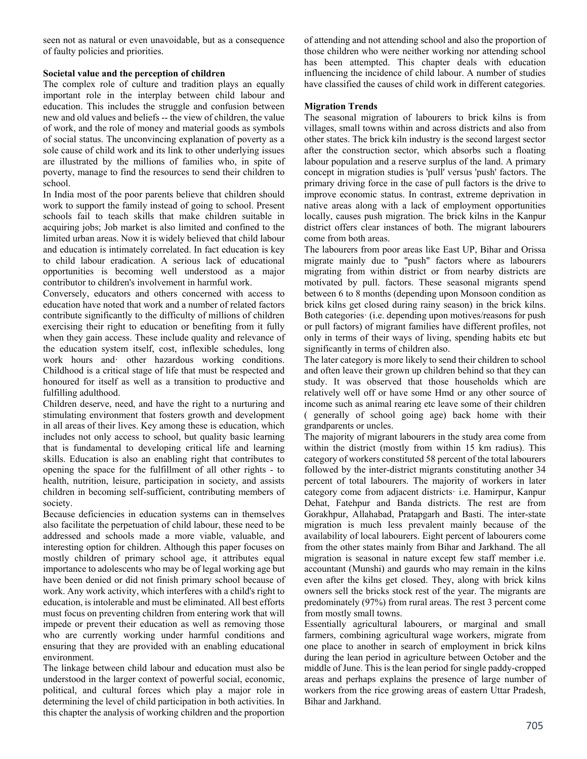seen not as natural or even unavoidable, but as a consequence of faulty policies and priorities.

# **Societal value and the perception of children**

The complex role of culture and tradition plays an equally important role in the interplay between child labour and education. This includes the struggle and confusion between new and old values and beliefs -- the view of children, the value of work, and the role of money and material goods as symbols of social status. The unconvincing explanation of poverty as a sole cause of child work and its link to other underlying issues are illustrated by the millions of families who, in spite of poverty, manage to find the resources to send their children to school.

In India most of the poor parents believe that children should work to support the family instead of going to school. Present schools fail to teach skills that make children suitable in acquiring jobs; Job market is also limited and confined to the limited urban areas. Now it is widely believed that child labour and education is intimately correlated. In fact education is key to child labour eradication. A serious lack of educational opportunities is becoming well understood as a major contributor to children's involvement in harmful work.

Conversely, educators and others concerned with access to education have noted that work and a number of related factors contribute significantly to the difficulty of millions of children exercising their right to education or benefiting from it fully when they gain access. These include quality and relevance of the education system itself, cost, inflexible schedules, long work hours and· other hazardous working conditions. Childhood is a critical stage of life that must be respected and honoured for itself as well as a transition to productive and fulfilling adulthood.

Children deserve, need, and have the right to a nurturing and stimulating environment that fosters growth and development in all areas of their lives. Key among these is education, which includes not only access to school, but quality basic learning that is fundamental to developing critical life and learning skills. Education is also an enabling right that contributes to opening the space for the fulfillment of all other rights - to health, nutrition, leisure, participation in society, and assists children in becoming self-sufficient, contributing members of society.

Because deficiencies in education systems can in themselves also facilitate the perpetuation of child labour, these need to be addressed and schools made a more viable, valuable, and interesting option for children. Although this paper focuses on mostly children of primary school age, it attributes equal importance to adolescents who may be of legal working age but have been denied or did not finish primary school because of work. Any work activity, which interferes with a child's right to education, is intolerable and must be eliminated. All best efforts must focus on preventing children from entering work that will impede or prevent their education as well as removing those who are currently working under harmful conditions and ensuring that they are provided with an enabling educational environment.

The linkage between child labour and education must also be understood in the larger context of powerful social, economic, political, and cultural forces which play a major role in determining the level of child participation in both activities. In this chapter the analysis of working children and the proportion of attending and not attending school and also the proportion of those children who were neither working nor attending school has been attempted. This chapter deals with education influencing the incidence of child labour. A number of studies have classified the causes of child work in different categories.

# **Migration Trends**

The seasonal migration of labourers to brick kilns is from villages, small towns within and across districts and also from other states. The brick kiln industry is the second largest sector after the construction sector, which absorbs such a floating labour population and a reserve surplus of the land. A primary concept in migration studies is 'pull' versus 'push' factors. The primary driving force in the case of pull factors is the drive to improve economic status. In contrast, extreme deprivation in native areas along with a lack of employment opportunities locally, causes push migration. The brick kilns in the Kanpur district offers clear instances of both. The migrant labourers come from both areas.

The labourers from poor areas like East UP, Bihar and Orissa migrate mainly due to "push" factors where as labourers migrating from within district or from nearby districts are motivated by pull. factors. These seasonal migrants spend between 6 to 8 months (depending upon Monsoon condition as brick kilns get closed during rainy season) in the brick kilns. Both categories· (i.e. depending upon motives/reasons for push or pull factors) of migrant families have different profiles, not only in terms of their ways of living, spending habits etc but significantly in terms of children also.

The later category is more likely to send their children to school and often leave their grown up children behind so that they can study. It was observed that those households which are relatively well off or have some Hmd or any other source of income such as animal rearing etc leave some of their children ( generally of school going age) back home with their grandparents or uncles.

The majority of migrant labourers in the study area come from within the district (mostly from within 15 km radius). This category of workers constituted 58 percent of the total labourers followed by the inter-district migrants constituting another 34 percent of total labourers. The majority of workers in later category come from adjacent districts· i.e. Hamirpur, Kanpur Dehat, Fatehpur and Banda districts. The rest are from Gorakhpur, Allahabad, Pratapgarh and Basti. The inter-state migration is much less prevalent mainly because of the availability of local labourers. Eight percent of labourers come from the other states mainly from Bihar and Jarkhand. The all migration is seasonal in nature except few staff member i.e. accountant (Munshi) and gaurds who may remain in the kilns even after the kilns get closed. They, along with brick kilns owners sell the bricks stock rest of the year. The migrants are predominately (97%) from rural areas. The rest 3 percent come from mostly small towns.

Essentially agricultural labourers, or marginal and small farmers, combining agricultural wage workers, migrate from one place to another in search of employment in brick kilns during the lean period in agriculture between October and the middle of June. This is the lean period for single paddy-cropped areas and perhaps explains the presence of large number of workers from the rice growing areas of eastern Uttar Pradesh, Bihar and Jarkhand.